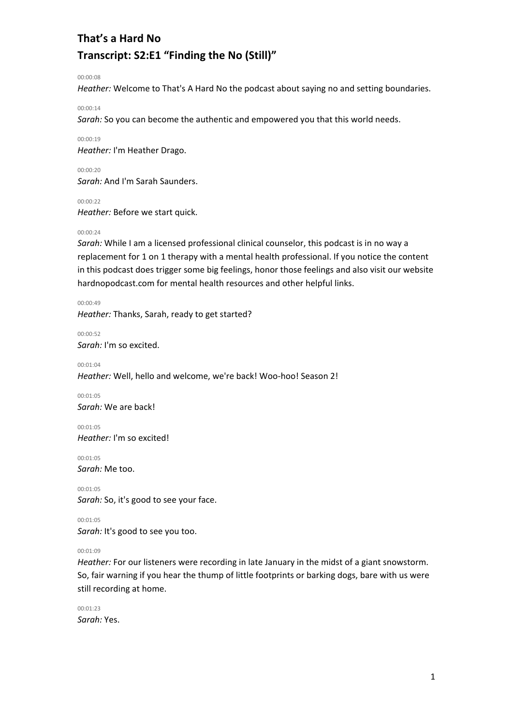00:00:08

*Heather:* Welcome to That's A Hard No the podcast about saying no and setting boundaries.

00:00:14

*Sarah:* So you can become the authentic and empowered you that this world needs.

00:00:19

*Heather:* I'm Heather Drago.

00:00:20 *Sarah:* And I'm Sarah Saunders.

00:00:22

*Heather:* Before we start quick.

00:00:24

*Sarah:* While I am a licensed professional clinical counselor, this podcast is in no way a replacement for 1 on 1 therapy with a mental health professional. If you notice the content in this podcast does trigger some big feelings, honor those feelings and also visit our website hardnopodcast.com for mental health resources and other helpful links.

00:00:49 *Heather:* Thanks, Sarah, ready to get started?

00:00:52 *Sarah:* I'm so excited.

00:01:04 *Heather:* Well, hello and welcome, we're back! Woo-hoo! Season 2!

00:01:05 *Sarah:* We are back!

00:01:05 *Heather:* I'm so excited!

00:01:05 *Sarah:* Me too.

00:01:05 *Sarah:* So, it's good to see your face.

00:01:05 *Sarah:* It's good to see you too.

00:01:09

*Heather:* For our listeners were recording in late January in the midst of a giant snowstorm. So, fair warning if you hear the thump of little footprints or barking dogs, bare with us were still recording at home.

00:01:23 *Sarah:* Yes.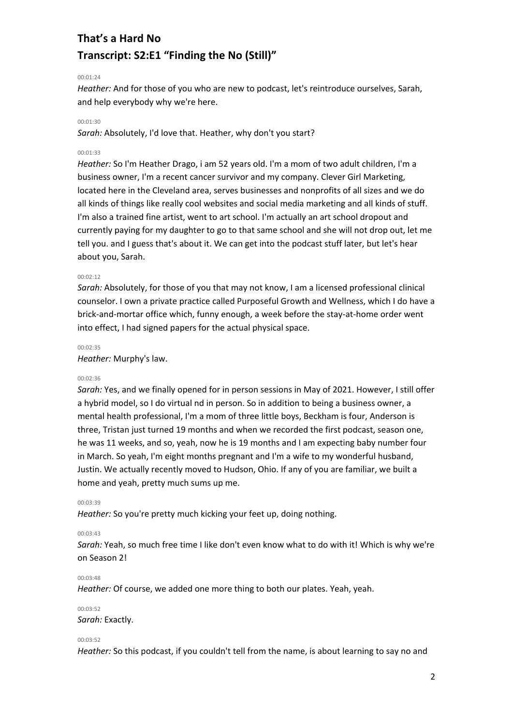## 00:01:24

*Heather:* And for those of you who are new to podcast, let's reintroduce ourselves, Sarah, and help everybody why we're here.

### 00:01:30

*Sarah:* Absolutely, I'd love that. Heather, why don't you start?

### 00:01:33

*Heather:* So I'm Heather Drago, i am 52 years old. I'm a mom of two adult children, I'm a business owner, I'm a recent cancer survivor and my company. Clever Girl Marketing, located here in the Cleveland area, serves businesses and nonprofits of all sizes and we do all kinds of things like really cool websites and social media marketing and all kinds of stuff. I'm also a trained fine artist, went to art school. I'm actually an art school dropout and currently paying for my daughter to go to that same school and she will not drop out, let me tell you. and I guess that's about it. We can get into the podcast stuff later, but let's hear about you, Sarah.

## 00:02:12

*Sarah:* Absolutely, for those of you that may not know, I am a licensed professional clinical counselor. I own a private practice called Purposeful Growth and Wellness, which I do have a brick-and-mortar office which, funny enough, a week before the stay-at-home order went into effect, I had signed papers for the actual physical space.

#### 00:02:35

*Heather:* Murphy's law.

#### 00:02:36

*Sarah:* Yes, and we finally opened for in person sessions in May of 2021. However, I still offer a hybrid model, so I do virtual nd in person. So in addition to being a business owner, a mental health professional, I'm a mom of three little boys, Beckham is four, Anderson is three, Tristan just turned 19 months and when we recorded the first podcast, season one, he was 11 weeks, and so, yeah, now he is 19 months and I am expecting baby number four in March. So yeah, I'm eight months pregnant and I'm a wife to my wonderful husband, Justin. We actually recently moved to Hudson, Ohio. If any of you are familiar, we built a home and yeah, pretty much sums up me.

#### 00:03:39

*Heather:* So you're pretty much kicking your feet up, doing nothing.

#### 00:03:43

*Sarah:* Yeah, so much free time I like don't even know what to do with it! Which is why we're on Season 2!

#### 00:03:48

*Heather:* Of course, we added one more thing to both our plates. Yeah, yeah.

#### 00:03:52

*Sarah:* Exactly.

#### 00:03:52

*Heather:* So this podcast, if you couldn't tell from the name, is about learning to say no and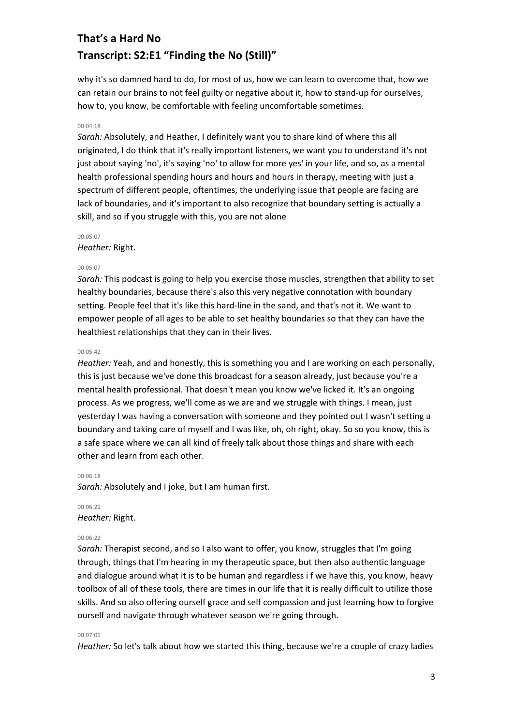why it's so damned hard to do, for most of us, how we can learn to overcome that, how we can retain our brains to not feel guilty or negative about it, how to stand-up for ourselves, how to, you know, be comfortable with feeling uncomfortable sometimes.

### 00:04:18

*Sarah:* Absolutely, and Heather, I definitely want you to share kind of where this all originated, I do think that it's really important listeners, we want you to understand it's not just about saying 'no', it's saying 'no' to allow for more yes' in your life, and so, as a mental health professional spending hours and hours and hours in therapy, meeting with just a spectrum of different people, oftentimes, the underlying issue that people are facing are lack of boundaries, and it's important to also recognize that boundary setting is actually a skill, and so if you struggle with this, you are not alone

#### 00:05:07

### *Heather:* Right.

### 00:05:07

*Sarah:* This podcast is going to help you exercise those muscles, strengthen that ability to set healthy boundaries, because there's also this very negative connotation with boundary setting. People feel that it's like this hard-line in the sand, and that's not it. We want to empower people of all ages to be able to set healthy boundaries so that they can have the healthiest relationships that they can in their lives.

#### 00:05:42

*Heather:* Yeah, and and honestly, this is something you and I are working on each personally, this is just because we've done this broadcast for a season already, just because you're a mental health professional. That doesn't mean you know we've licked it. It's an ongoing process. As we progress, we'll come as we are and we struggle with things. I mean, just yesterday I was having a conversation with someone and they pointed out I wasn't setting a boundary and taking care of myself and I was like, oh, oh right, okay. So so you know, this is a safe space where we can all kind of freely talk about those things and share with each other and learn from each other.

### 00:06:18

*Sarah:* Absolutely and I joke, but I am human first.

# 00:06:21 *Heather:* Right.

#### 00:06:22

*Sarah:* Therapist second, and so I also want to offer, you know, struggles that I'm going through, things that I'm hearing in my therapeutic space, but then also authentic language and dialogue around what it is to be human and regardless i f we have this, you know, heavy toolbox of all of these tools, there are times in our life that it is really difficult to utilize those skills. And so also offering ourself grace and self compassion and just learning how to forgive ourself and navigate through whatever season we're going through.

#### 00:07:01

*Heather:* So let's talk about how we started this thing, because we're a couple of crazy ladies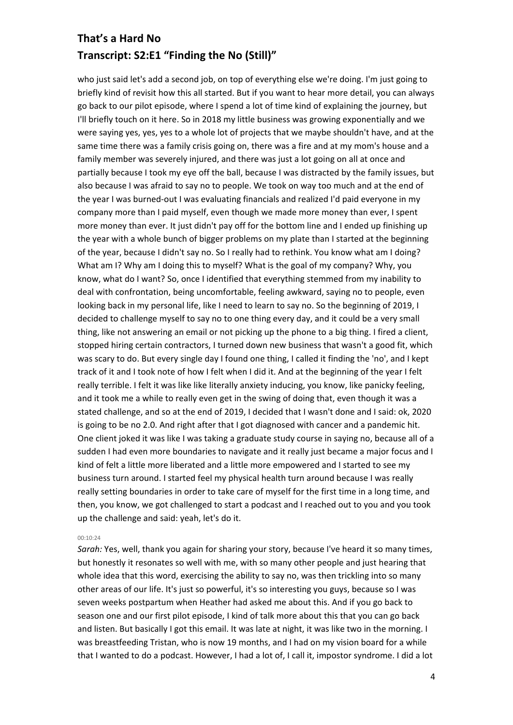who just said let's add a second job, on top of everything else we're doing. I'm just going to briefly kind of revisit how this all started. But if you want to hear more detail, you can always go back to our pilot episode, where I spend a lot of time kind of explaining the journey, but I'll briefly touch on it here. So in 2018 my little business was growing exponentially and we were saying yes, yes, yes to a whole lot of projects that we maybe shouldn't have, and at the same time there was a family crisis going on, there was a fire and at my mom's house and a family member was severely injured, and there was just a lot going on all at once and partially because I took my eye off the ball, because I was distracted by the family issues, but also because I was afraid to say no to people. We took on way too much and at the end of the year I was burned-out I was evaluating financials and realized I'd paid everyone in my company more than I paid myself, even though we made more money than ever, I spent more money than ever. It just didn't pay off for the bottom line and I ended up finishing up the year with a whole bunch of bigger problems on my plate than I started at the beginning of the year, because I didn't say no. So I really had to rethink. You know what am I doing? What am I? Why am I doing this to myself? What is the goal of my company? Why, you know, what do I want? So, once I identified that everything stemmed from my inability to deal with confrontation, being uncomfortable, feeling awkward, saying no to people, even looking back in my personal life, like I need to learn to say no. So the beginning of 2019, I decided to challenge myself to say no to one thing every day, and it could be a very small thing, like not answering an email or not picking up the phone to a big thing. I fired a client, stopped hiring certain contractors, I turned down new business that wasn't a good fit, which was scary to do. But every single day I found one thing, I called it finding the 'no', and I kept track of it and I took note of how I felt when I did it. And at the beginning of the year I felt really terrible. I felt it was like like literally anxiety inducing, you know, like panicky feeling, and it took me a while to really even get in the swing of doing that, even though it was a stated challenge, and so at the end of 2019, I decided that I wasn't done and I said: ok, 2020 is going to be no 2.0. And right after that I got diagnosed with cancer and a pandemic hit. One client joked it was like I was taking a graduate study course in saying no, because all of a sudden I had even more boundaries to navigate and it really just became a major focus and I kind of felt a little more liberated and a little more empowered and I started to see my business turn around. I started feel my physical health turn around because I was really really setting boundaries in order to take care of myself for the first time in a long time, and then, you know, we got challenged to start a podcast and I reached out to you and you took up the challenge and said: yeah, let's do it.

#### 00:10:24

*Sarah:* Yes, well, thank you again for sharing your story, because I've heard it so many times, but honestly it resonates so well with me, with so many other people and just hearing that whole idea that this word, exercising the ability to say no, was then trickling into so many other areas of our life. It's just so powerful, it's so interesting you guys, because so I was seven weeks postpartum when Heather had asked me about this. And if you go back to season one and our first pilot episode, I kind of talk more about this that you can go back and listen. But basically I got this email. It was late at night, it was like two in the morning. I was breastfeeding Tristan, who is now 19 months, and I had on my vision board for a while that I wanted to do a podcast. However, I had a lot of, I call it, impostor syndrome. I did a lot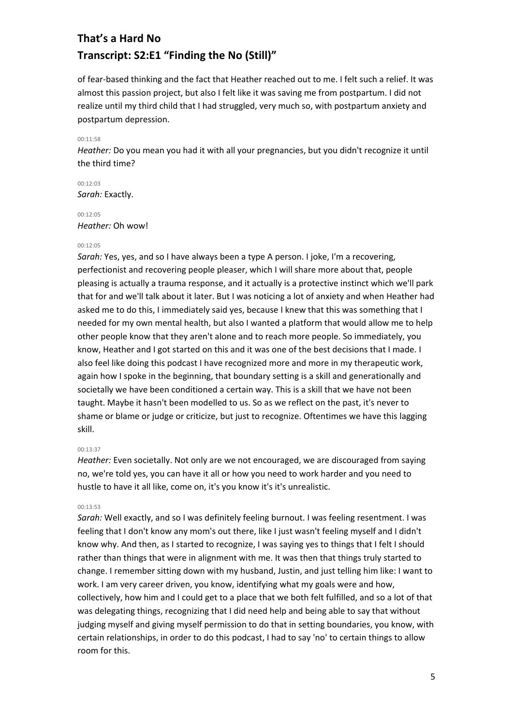of fear-based thinking and the fact that Heather reached out to me. I felt such a relief. It was almost this passion project, but also I felt like it was saving me from postpartum. I did not realize until my third child that I had struggled, very much so, with postpartum anxiety and postpartum depression.

#### 00:11:58

*Heather:* Do you mean you had it with all your pregnancies, but you didn't recognize it until the third time?

00:12:03 *Sarah:* Exactly.

# 00:12:05 *Heather:* Oh wow!

## 00:12:05

*Sarah:* Yes, yes, and so I have always been a type A person. I joke, I'm a recovering, perfectionist and recovering people pleaser, which I will share more about that, people pleasing is actually a trauma response, and it actually is a protective instinct which we'll park that for and we'll talk about it later. But I was noticing a lot of anxiety and when Heather had asked me to do this, I immediately said yes, because I knew that this was something that I needed for my own mental health, but also I wanted a platform that would allow me to help other people know that they aren't alone and to reach more people. So immediately, you know, Heather and I got started on this and it was one of the best decisions that I made. I also feel like doing this podcast I have recognized more and more in my therapeutic work, again how I spoke in the beginning, that boundary setting is a skill and generationally and societally we have been conditioned a certain way. This is a skill that we have not been taught. Maybe it hasn't been modelled to us. So as we reflect on the past, it's never to shame or blame or judge or criticize, but just to recognize. Oftentimes we have this lagging skill.

#### 00:13:37

*Heather:* Even societally. Not only are we not encouraged, we are discouraged from saying no, we're told yes, you can have it all or how you need to work harder and you need to hustle to have it all like, come on, it's you know it's it's unrealistic.

## 00:13:53

*Sarah:* Well exactly, and so I was definitely feeling burnout. I was feeling resentment. I was feeling that I don't know any mom's out there, like I just wasn't feeling myself and I didn't know why. And then, as I started to recognize, I was saying yes to things that I felt I should rather than things that were in alignment with me. It was then that things truly started to change. I remember sitting down with my husband, Justin, and just telling him like: I want to work. I am very career driven, you know, identifying what my goals were and how, collectively, how him and I could get to a place that we both felt fulfilled, and so a lot of that was delegating things, recognizing that I did need help and being able to say that without judging myself and giving myself permission to do that in setting boundaries, you know, with certain relationships, in order to do this podcast, I had to say 'no' to certain things to allow room for this.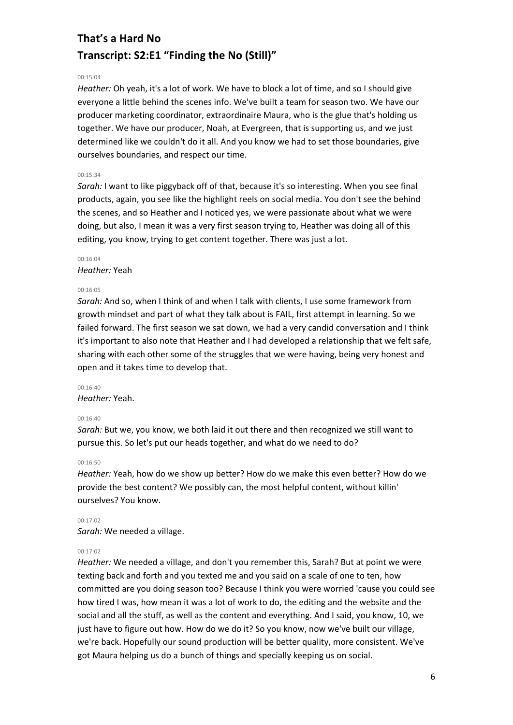## 00:15:04

*Heather:* Oh yeah, it's a lot of work. We have to block a lot of time, and so I should give everyone a little behind the scenes info. We've built a team for season two. We have our producer marketing coordinator, extraordinaire Maura, who is the glue that's holding us together. We have our producer, Noah, at Evergreen, that is supporting us, and we just determined like we couldn't do it all. And you know we had to set those boundaries, give ourselves boundaries, and respect our time.

## 00:15:34

*Sarah:* I want to like piggyback off of that, because it's so interesting. When you see final products, again, you see like the highlight reels on social media. You don't see the behind the scenes, and so Heather and I noticed yes, we were passionate about what we were doing, but also, I mean it was a very first season trying to, Heather was doing all of this editing, you know, trying to get content together. There was just a lot.

# 00:16:04

*Heather:* Yeah

#### 00:16:05

*Sarah:* And so, when I think of and when I talk with clients, I use some framework from growth mindset and part of what they talk about is FAIL, first attempt in learning. So we failed forward. The first season we sat down, we had a very candid conversation and I think it's important to also note that Heather and I had developed a relationship that we felt safe, sharing with each other some of the struggles that we were having, being very honest and open and it takes time to develop that.

#### 00:16:40

*Heather:* Yeah.

### 00:16:40

*Sarah:* But we, you know, we both laid it out there and then recognized we still want to pursue this. So let's put our heads together, and what do we need to do?

#### 00:16:50

*Heather:* Yeah, how do we show up better? How do we make this even better? How do we provide the best content? We possibly can, the most helpful content, without killin' ourselves? You know.

00:17:02 *Sarah:* We needed a village.

## 00:17:02

*Heather:* We needed a village, and don't you remember this, Sarah? But at point we were texting back and forth and you texted me and you said on a scale of one to ten, how committed are you doing season too? Because I think you were worried 'cause you could see how tired I was, how mean it was a lot of work to do, the editing and the website and the social and all the stuff, as well as the content and everything. And I said, you know, 10, we just have to figure out how. How do we do it? So you know, now we've built our village, we're back. Hopefully our sound production will be better quality, more consistent. We've got Maura helping us do a bunch of things and specially keeping us on social.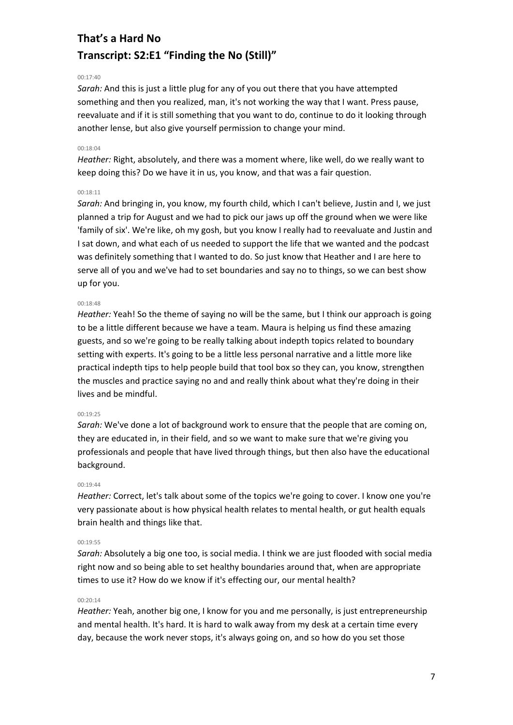# 00:17:40

*Sarah:* And this is just a little plug for any of you out there that you have attempted something and then you realized, man, it's not working the way that I want. Press pause, reevaluate and if it is still something that you want to do, continue to do it looking through another lense, but also give yourself permission to change your mind.

# 00:18:04

*Heather:* Right, absolutely, and there was a moment where, like well, do we really want to keep doing this? Do we have it in us, you know, and that was a fair question.

## 00:18:11

*Sarah:* And bringing in, you know, my fourth child, which I can't believe, Justin and I, we just planned a trip for August and we had to pick our jaws up off the ground when we were like 'family of six'. We're like, oh my gosh, but you know I really had to reevaluate and Justin and I sat down, and what each of us needed to support the life that we wanted and the podcast was definitely something that I wanted to do. So just know that Heather and I are here to serve all of you and we've had to set boundaries and say no to things, so we can best show up for you.

## 00:18:48

*Heather:* Yeah! So the theme of saying no will be the same, but I think our approach is going to be a little different because we have a team. Maura is helping us find these amazing guests, and so we're going to be really talking about indepth topics related to boundary setting with experts. It's going to be a little less personal narrative and a little more like practical indepth tips to help people build that tool box so they can, you know, strengthen the muscles and practice saying no and and really think about what they're doing in their lives and be mindful.

#### 00:19:25

*Sarah:* We've done a lot of background work to ensure that the people that are coming on, they are educated in, in their field, and so we want to make sure that we're giving you professionals and people that have lived through things, but then also have the educational background.

## 00:19:44

*Heather:* Correct, let's talk about some of the topics we're going to cover. I know one you're very passionate about is how physical health relates to mental health, or gut health equals brain health and things like that.

## 00:19:55

*Sarah:* Absolutely a big one too, is social media. I think we are just flooded with social media right now and so being able to set healthy boundaries around that, when are appropriate times to use it? How do we know if it's effecting our, our mental health?

### 00:20:14

*Heather:* Yeah, another big one, I know for you and me personally, is just entrepreneurship and mental health. It's hard. It is hard to walk away from my desk at a certain time every day, because the work never stops, it's always going on, and so how do you set those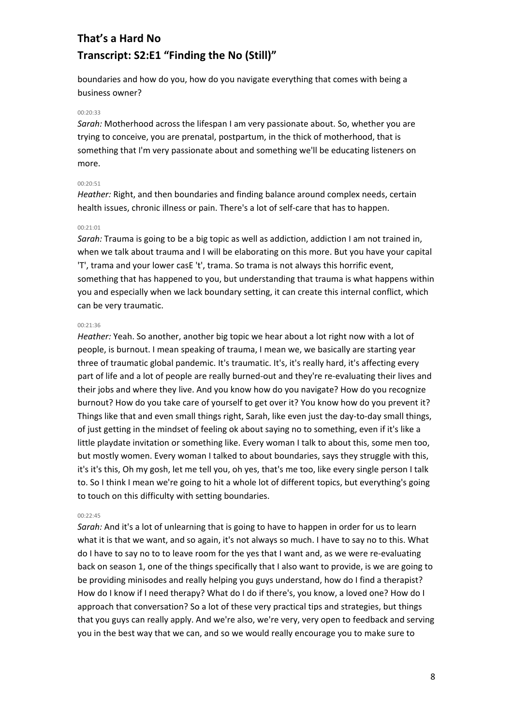boundaries and how do you, how do you navigate everything that comes with being a business owner?

#### 00:20:33

*Sarah:* Motherhood across the lifespan I am very passionate about. So, whether you are trying to conceive, you are prenatal, postpartum, in the thick of motherhood, that is something that I'm very passionate about and something we'll be educating listeners on more.

## 00:20:51

*Heather:* Right, and then boundaries and finding balance around complex needs, certain health issues, chronic illness or pain. There's a lot of self-care that has to happen.

## 00:21:01

*Sarah:* Trauma is going to be a big topic as well as addiction, addiction I am not trained in, when we talk about trauma and I will be elaborating on this more. But you have your capital 'T', trama and your lower casE 't', trama. So trama is not always this horrific event, something that has happened to you, but understanding that trauma is what happens within you and especially when we lack boundary setting, it can create this internal conflict, which can be very traumatic.

### 00:21:36

*Heather:* Yeah. So another, another big topic we hear about a lot right now with a lot of people, is burnout. I mean speaking of trauma, I mean we, we basically are starting year three of traumatic global pandemic. It's traumatic. It's, it's really hard, it's affecting every part of life and a lot of people are really burned-out and they're re-evaluating their lives and their jobs and where they live. And you know how do you navigate? How do you recognize burnout? How do you take care of yourself to get over it? You know how do you prevent it? Things like that and even small things right, Sarah, like even just the day-to-day small things, of just getting in the mindset of feeling ok about saying no to something, even if it's like a little playdate invitation or something like. Every woman I talk to about this, some men too, but mostly women. Every woman I talked to about boundaries, says they struggle with this, it's it's this, Oh my gosh, let me tell you, oh yes, that's me too, like every single person I talk to. So I think I mean we're going to hit a whole lot of different topics, but everything's going to touch on this difficulty with setting boundaries.

## 00:22:45

*Sarah:* And it's a lot of unlearning that is going to have to happen in order for us to learn what it is that we want, and so again, it's not always so much. I have to say no to this. What do I have to say no to to leave room for the yes that I want and, as we were re-evaluating back on season 1, one of the things specifically that I also want to provide, is we are going to be providing minisodes and really helping you guys understand, how do I find a therapist? How do I know if I need therapy? What do I do if there's, you know, a loved one? How do I approach that conversation? So a lot of these very practical tips and strategies, but things that you guys can really apply. And we're also, we're very, very open to feedback and serving you in the best way that we can, and so we would really encourage you to make sure to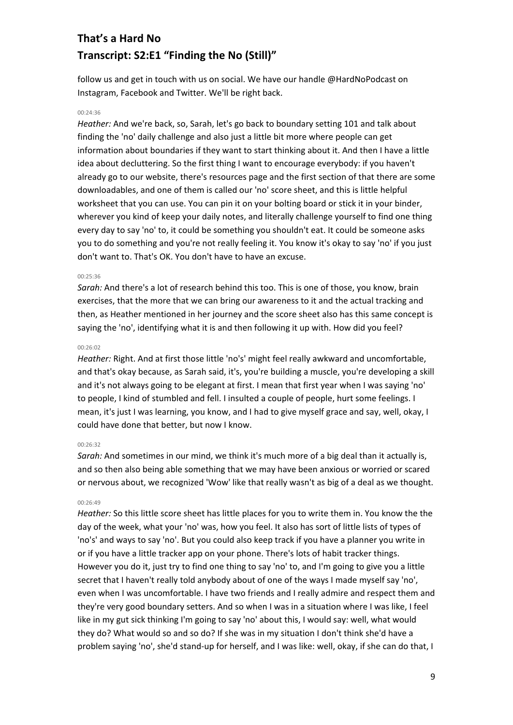follow us and get in touch with us on social. We have our handle @HardNoPodcast on Instagram, Facebook and Twitter. We'll be right back.

# 00:24:36

*Heather:* And we're back, so, Sarah, let's go back to boundary setting 101 and talk about finding the 'no' daily challenge and also just a little bit more where people can get information about boundaries if they want to start thinking about it. And then I have a little idea about decluttering. So the first thing I want to encourage everybody: if you haven't already go to our website, there's resources page and the first section of that there are some downloadables, and one of them is called our 'no' score sheet, and this is little helpful worksheet that you can use. You can pin it on your bolting board or stick it in your binder, wherever you kind of keep your daily notes, and literally challenge yourself to find one thing every day to say 'no' to, it could be something you shouldn't eat. It could be someone asks you to do something and you're not really feeling it. You know it's okay to say 'no' if you just don't want to. That's OK. You don't have to have an excuse.

#### 00:25:36

*Sarah:* And there's a lot of research behind this too. This is one of those, you know, brain exercises, that the more that we can bring our awareness to it and the actual tracking and then, as Heather mentioned in her journey and the score sheet also has this same concept is saying the 'no', identifying what it is and then following it up with. How did you feel?

#### 00:26:02

*Heather:* Right. And at first those little 'no's' might feel really awkward and uncomfortable, and that's okay because, as Sarah said, it's, you're building a muscle, you're developing a skill and it's not always going to be elegant at first. I mean that first year when I was saying 'no' to people, I kind of stumbled and fell. I insulted a couple of people, hurt some feelings. I mean, it's just I was learning, you know, and I had to give myself grace and say, well, okay, I could have done that better, but now I know.

#### 00:26:32

*Sarah:* And sometimes in our mind, we think it's much more of a big deal than it actually is, and so then also being able something that we may have been anxious or worried or scared or nervous about, we recognized 'Wow' like that really wasn't as big of a deal as we thought.

#### 00:26:49

*Heather:* So this little score sheet has little places for you to write them in. You know the the day of the week, what your 'no' was, how you feel. It also has sort of little lists of types of 'no's' and ways to say 'no'. But you could also keep track if you have a planner you write in or if you have a little tracker app on your phone. There's lots of habit tracker things. However you do it, just try to find one thing to say 'no' to, and I'm going to give you a little secret that I haven't really told anybody about of one of the ways I made myself say 'no', even when I was uncomfortable. I have two friends and I really admire and respect them and they're very good boundary setters. And so when I was in a situation where I was like, I feel like in my gut sick thinking I'm going to say 'no' about this, I would say: well, what would they do? What would so and so do? If she was in my situation I don't think she'd have a problem saying 'no', she'd stand-up for herself, and I was like: well, okay, if she can do that, I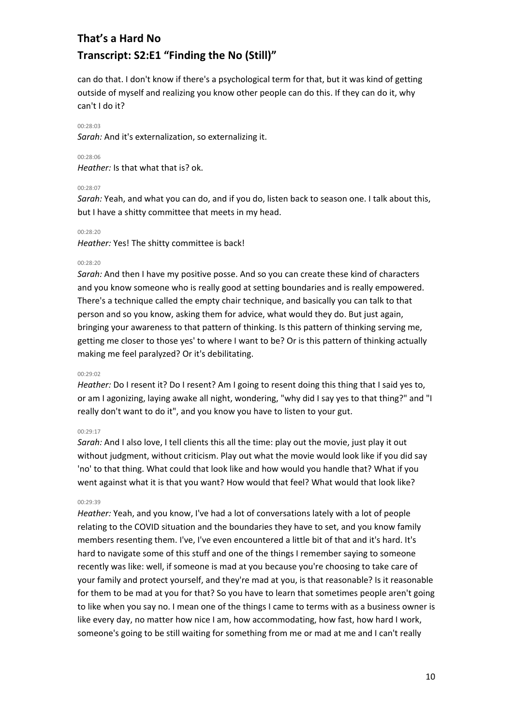can do that. I don't know if there's a psychological term for that, but it was kind of getting outside of myself and realizing you know other people can do this. If they can do it, why can't I do it?

### 00:28:03

*Sarah:* And it's externalization, so externalizing it.

## 00:28:06

*Heather:* Is that what that is? ok.

## 00:28:07

*Sarah:* Yeah, and what you can do, and if you do, listen back to season one. I talk about this, but I have a shitty committee that meets in my head.

## 00:28:20

*Heather:* Yes! The shitty committee is back!

### 00:28:20

*Sarah:* And then I have my positive posse. And so you can create these kind of characters and you know someone who is really good at setting boundaries and is really empowered. There's a technique called the empty chair technique, and basically you can talk to that person and so you know, asking them for advice, what would they do. But just again, bringing your awareness to that pattern of thinking. Is this pattern of thinking serving me, getting me closer to those yes' to where I want to be? Or is this pattern of thinking actually making me feel paralyzed? Or it's debilitating.

## 00:29:02

*Heather:* Do I resent it? Do I resent? Am I going to resent doing this thing that I said yes to, or am I agonizing, laying awake all night, wondering, "why did I say yes to that thing?" and "I really don't want to do it", and you know you have to listen to your gut.

## 00:29:17

*Sarah:* And I also love, I tell clients this all the time: play out the movie, just play it out without judgment, without criticism. Play out what the movie would look like if you did say 'no' to that thing. What could that look like and how would you handle that? What if you went against what it is that you want? How would that feel? What would that look like?

## 00:29:39

*Heather:* Yeah, and you know, I've had a lot of conversations lately with a lot of people relating to the COVID situation and the boundaries they have to set, and you know family members resenting them. I've, I've even encountered a little bit of that and it's hard. It's hard to navigate some of this stuff and one of the things I remember saying to someone recently was like: well, if someone is mad at you because you're choosing to take care of your family and protect yourself, and they're mad at you, is that reasonable? Is it reasonable for them to be mad at you for that? So you have to learn that sometimes people aren't going to like when you say no. I mean one of the things I came to terms with as a business owner is like every day, no matter how nice I am, how accommodating, how fast, how hard I work, someone's going to be still waiting for something from me or mad at me and I can't really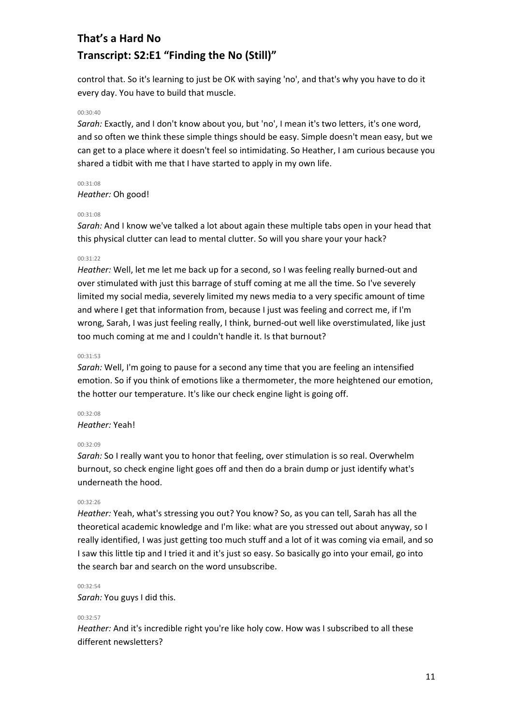control that. So it's learning to just be OK with saying 'no', and that's why you have to do it every day. You have to build that muscle.

### 00:30:40

*Sarah:* Exactly, and I don't know about you, but 'no', I mean it's two letters, it's one word, and so often we think these simple things should be easy. Simple doesn't mean easy, but we can get to a place where it doesn't feel so intimidating. So Heather, I am curious because you shared a tidbit with me that I have started to apply in my own life.

00:31:08 *Heather:* Oh good!

### 00:31:08

*Sarah:* And I know we've talked a lot about again these multiple tabs open in your head that this physical clutter can lead to mental clutter. So will you share your your hack?

### 00:31:22

*Heather:* Well, let me let me back up for a second, so I was feeling really burned-out and over stimulated with just this barrage of stuff coming at me all the time. So I've severely limited my social media, severely limited my news media to a very specific amount of time and where I get that information from, because I just was feeling and correct me, if I'm wrong, Sarah, I was just feeling really, I think, burned-out well like overstimulated, like just too much coming at me and I couldn't handle it. Is that burnout?

## 00:31:53

*Sarah:* Well, I'm going to pause for a second any time that you are feeling an intensified emotion. So if you think of emotions like a thermometer, the more heightened our emotion, the hotter our temperature. It's like our check engine light is going off.

# 00:32:08

# *Heather:* Yeah!

#### 00:32:09

*Sarah:* So I really want you to honor that feeling, over stimulation is so real. Overwhelm burnout, so check engine light goes off and then do a brain dump or just identify what's underneath the hood.

#### 00:32:26

*Heather:* Yeah, what's stressing you out? You know? So, as you can tell, Sarah has all the theoretical academic knowledge and I'm like: what are you stressed out about anyway, so I really identified, I was just getting too much stuff and a lot of it was coming via email, and so I saw this little tip and I tried it and it's just so easy. So basically go into your email, go into the search bar and search on the word unsubscribe.

#### 00:32:54

*Sarah:* You guys I did this.

#### 00:32:57

*Heather:* And it's incredible right you're like holy cow. How was I subscribed to all these different newsletters?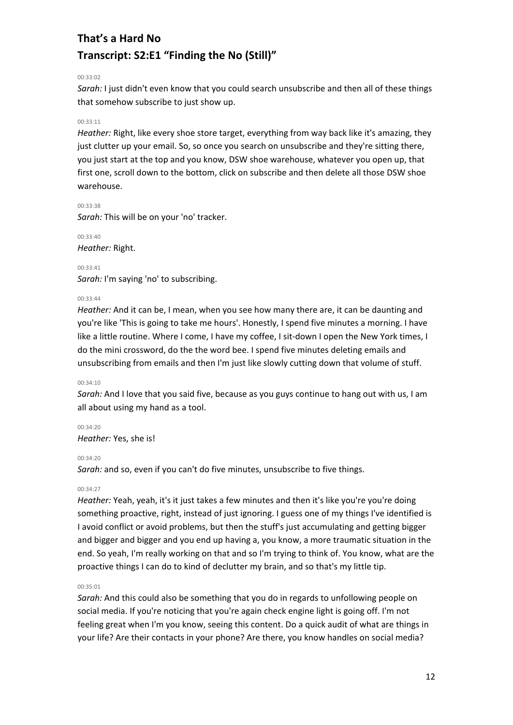00:33:02

*Sarah:* I just didn't even know that you could search unsubscribe and then all of these things that somehow subscribe to just show up.

# 00:33:11

*Heather:* Right, like every shoe store target, everything from way back like it's amazing, they just clutter up your email. So, so once you search on unsubscribe and they're sitting there, you just start at the top and you know, DSW shoe warehouse, whatever you open up, that first one, scroll down to the bottom, click on subscribe and then delete all those DSW shoe warehouse.

00:33:38 *Sarah:* This will be on your 'no' tracker.

00:33:40 *Heather:* Right.

00:33:41 *Sarah:* I'm saying 'no' to subscribing.

## 00:33:44

*Heather:* And it can be, I mean, when you see how many there are, it can be daunting and you're like 'This is going to take me hours'. Honestly, I spend five minutes a morning. I have like a little routine. Where I come, I have my coffee, I sit-down I open the New York times, I do the mini crossword, do the the word bee. I spend five minutes deleting emails and unsubscribing from emails and then I'm just like slowly cutting down that volume of stuff.

## 00:34:10

*Sarah:* And I love that you said five, because as you guys continue to hang out with us, I am all about using my hand as a tool.

00:34:20 *Heather:* Yes, she is!

## 00:34:20

*Sarah:* and so, even if you can't do five minutes, unsubscribe to five things.

# 00:34:27

*Heather:* Yeah, yeah, it's it just takes a few minutes and then it's like you're you're doing something proactive, right, instead of just ignoring. I guess one of my things I've identified is I avoid conflict or avoid problems, but then the stuff's just accumulating and getting bigger and bigger and bigger and you end up having a, you know, a more traumatic situation in the end. So yeah, I'm really working on that and so I'm trying to think of. You know, what are the proactive things I can do to kind of declutter my brain, and so that's my little tip.

## 00:35:01

*Sarah:* And this could also be something that you do in regards to unfollowing people on social media. If you're noticing that you're again check engine light is going off. I'm not feeling great when I'm you know, seeing this content. Do a quick audit of what are things in your life? Are their contacts in your phone? Are there, you know handles on social media?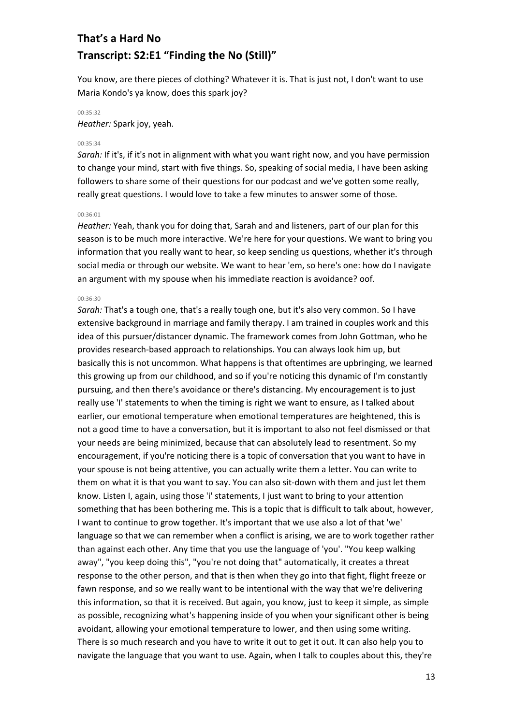You know, are there pieces of clothing? Whatever it is. That is just not, I don't want to use Maria Kondo's ya know, does this spark joy?

# 00:35:32

*Heather:* Spark joy, yeah.

#### 00:35:34

*Sarah:* If it's, if it's not in alignment with what you want right now, and you have permission to change your mind, start with five things. So, speaking of social media, I have been asking followers to share some of their questions for our podcast and we've gotten some really, really great questions. I would love to take a few minutes to answer some of those.

#### 00:36:01

*Heather:* Yeah, thank you for doing that, Sarah and and listeners, part of our plan for this season is to be much more interactive. We're here for your questions. We want to bring you information that you really want to hear, so keep sending us questions, whether it's through social media or through our website. We want to hear 'em, so here's one: how do I navigate an argument with my spouse when his immediate reaction is avoidance? oof.

### 00:36:30

*Sarah:* That's a tough one, that's a really tough one, but it's also very common. So I have extensive background in marriage and family therapy. I am trained in couples work and this idea of this pursuer/distancer dynamic. The framework comes from John Gottman, who he provides research-based approach to relationships. You can always look him up, but basically this is not uncommon. What happens is that oftentimes are upbringing, we learned this growing up from our childhood, and so if you're noticing this dynamic of I'm constantly pursuing, and then there's avoidance or there's distancing. My encouragement is to just really use 'I' statements to when the timing is right we want to ensure, as I talked about earlier, our emotional temperature when emotional temperatures are heightened, this is not a good time to have a conversation, but it is important to also not feel dismissed or that your needs are being minimized, because that can absolutely lead to resentment. So my encouragement, if you're noticing there is a topic of conversation that you want to have in your spouse is not being attentive, you can actually write them a letter. You can write to them on what it is that you want to say. You can also sit-down with them and just let them know. Listen I, again, using those 'i' statements, I just want to bring to your attention something that has been bothering me. This is a topic that is difficult to talk about, however, I want to continue to grow together. It's important that we use also a lot of that 'we' language so that we can remember when a conflict is arising, we are to work together rather than against each other. Any time that you use the language of 'you'. "You keep walking away", "you keep doing this", "you're not doing that" automatically, it creates a threat response to the other person, and that is then when they go into that fight, flight freeze or fawn response, and so we really want to be intentional with the way that we're delivering this information, so that it is received. But again, you know, just to keep it simple, as simple as possible, recognizing what's happening inside of you when your significant other is being avoidant, allowing your emotional temperature to lower, and then using some writing. There is so much research and you have to write it out to get it out. It can also help you to navigate the language that you want to use. Again, when I talk to couples about this, they're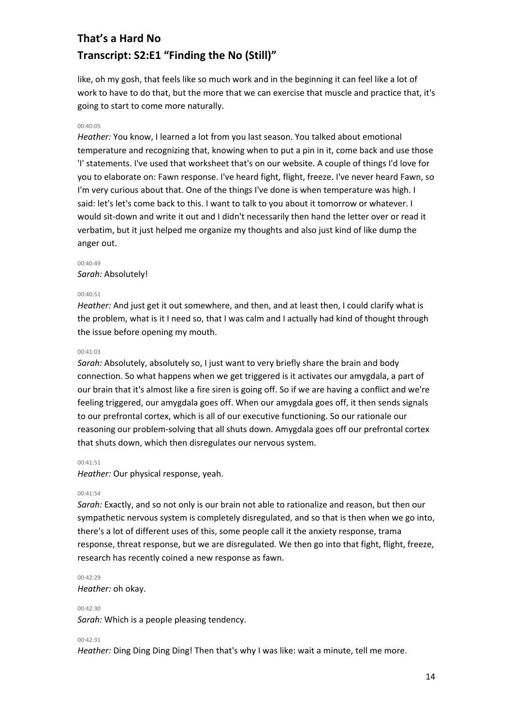like, oh my gosh, that feels like so much work and in the beginning it can feel like a lot of work to have to do that, but the more that we can exercise that muscle and practice that, it's going to start to come more naturally.

### 00:40:05

*Heather:* You know, I learned a lot from you last season. You talked about emotional temperature and recognizing that, knowing when to put a pin in it, come back and use those 'I' statements. I've used that worksheet that's on our website. A couple of things I'd love for you to elaborate on: Fawn response. I've heard fight, flight, freeze. I've never heard Fawn, so I'm very curious about that. One of the things I've done is when temperature was high. I said: let's let's come back to this. I want to talk to you about it tomorrow or whatever. I would sit-down and write it out and I didn't necessarily then hand the letter over or read it verbatim, but it just helped me organize my thoughts and also just kind of like dump the anger out.

#### 00:40:49

### *Sarah:* Absolutely!

#### 00:40:51

*Heather:* And just get it out somewhere, and then, and at least then, I could clarify what is the problem, what is it I need so, that I was calm and I actually had kind of thought through the issue before opening my mouth.

#### 00:41:03

*Sarah:* Absolutely, absolutely so, I just want to very briefly share the brain and body connection. So what happens when we get triggered is it activates our amygdala, a part of our brain that it's almost like a fire siren is going off. So if we are having a conflict and we're feeling triggered, our amygdala goes off. When our amygdala goes off, it then sends signals to our prefrontal cortex, which is all of our executive functioning. So our rationale our reasoning our problem-solving that all shuts down. Amygdala goes off our prefrontal cortex that shuts down, which then disregulates our nervous system.

### $00.41.51$

*Heather:* Our physical response, yeah.

#### 00:41:54

*Sarah:* Exactly, and so not only is our brain not able to rationalize and reason, but then our sympathetic nervous system is completely disregulated, and so that is then when we go into, there's a lot of different uses of this, some people call it the anxiety response, trama response, threat response, but we are disregulated. We then go into that fight, flight, freeze, research has recently coined a new response as fawn.

#### 00:42:29

*Heather:* oh okay.

#### 00:42:30

*Sarah:* Which is a people pleasing tendency.

#### $00.42.31$

*Heather:* Ding Ding Ding Ding! Then that's why I was like: wait a minute, tell me more.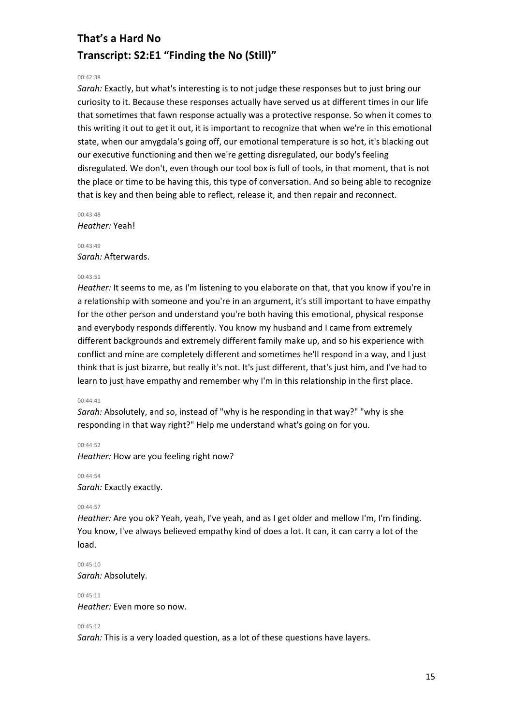## 00:42:38

*Sarah:* Exactly, but what's interesting is to not judge these responses but to just bring our curiosity to it. Because these responses actually have served us at different times in our life that sometimes that fawn response actually was a protective response. So when it comes to this writing it out to get it out, it is important to recognize that when we're in this emotional state, when our amygdala's going off, our emotional temperature is so hot, it's blacking out our executive functioning and then we're getting disregulated, our body's feeling disregulated. We don't, even though our tool box is full of tools, in that moment, that is not the place or time to be having this, this type of conversation. And so being able to recognize that is key and then being able to reflect, release it, and then repair and reconnect.

00:43:48 *Heather:* Yeah!

 $00.43.49$ *Sarah:* Afterwards.

## $00.43.51$

*Heather:* It seems to me, as I'm listening to you elaborate on that, that you know if you're in a relationship with someone and you're in an argument, it's still important to have empathy for the other person and understand you're both having this emotional, physical response and everybody responds differently. You know my husband and I came from extremely different backgrounds and extremely different family make up, and so his experience with conflict and mine are completely different and sometimes he'll respond in a way, and I just think that is just bizarre, but really it's not. It's just different, that's just him, and I've had to learn to just have empathy and remember why I'm in this relationship in the first place.

## 00:44:41

*Sarah:* Absolutely, and so, instead of "why is he responding in that way?" "why is she responding in that way right?" Help me understand what's going on for you.

 $00:44:52$ *Heather:* How are you feeling right now?

00:44:54 *Sarah:* Exactly exactly.

## 00:44:57

*Heather:* Are you ok? Yeah, yeah, I've yeah, and as I get older and mellow I'm, I'm finding. You know, I've always believed empathy kind of does a lot. It can, it can carry a lot of the load.

00:45:10 *Sarah:* Absolutely.

 $00.45.11$ *Heather:* Even more so now.

# 00:45:12

*Sarah:* This is a very loaded question, as a lot of these questions have layers.